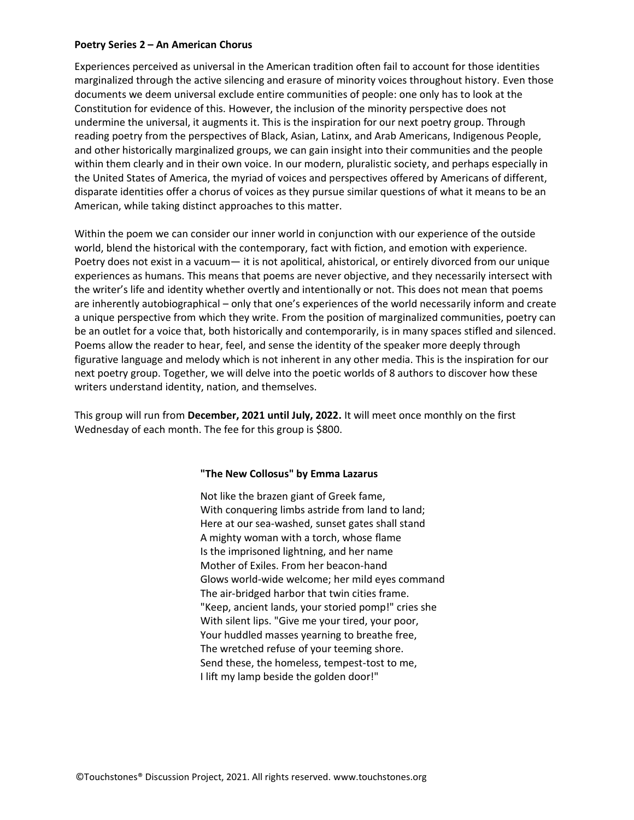#### **Poetry Series 2 – An American Chorus**

Experiences perceived as universal in the American tradition often fail to account for those identities marginalized through the active silencing and erasure of minority voices throughout history. Even those documents we deem universal exclude entire communities of people: one only has to look at the Constitution for evidence of this. However, the inclusion of the minority perspective does not undermine the universal, it augments it. This is the inspiration for our next poetry group. Through reading poetry from the perspectives of Black, Asian, Latinx, and Arab Americans, Indigenous People, and other historically marginalized groups, we can gain insight into their communities and the people within them clearly and in their own voice. In our modern, pluralistic society, and perhaps especially in the United States of America, the myriad of voices and perspectives offered by Americans of different, disparate identities offer a chorus of voices as they pursue similar questions of what it means to be an American, while taking distinct approaches to this matter.

Within the poem we can consider our inner world in conjunction with our experience of the outside world, blend the historical with the contemporary, fact with fiction, and emotion with experience. Poetry does not exist in a vacuum— it is not apolitical, ahistorical, or entirely divorced from our unique experiences as humans. This means that poems are never objective, and they necessarily intersect with the writer's life and identity whether overtly and intentionally or not. This does not mean that poems are inherently autobiographical – only that one's experiences of the world necessarily inform and create a unique perspective from which they write. From the position of marginalized communities, poetry can be an outlet for a voice that, both historically and contemporarily, is in many spaces stifled and silenced. Poems allow the reader to hear, feel, and sense the identity of the speaker more deeply through figurative language and melody which is not inherent in any other media. This is the inspiration for our next poetry group. Together, we will delve into the poetic worlds of 8 authors to discover how these writers understand identity, nation, and themselves.

This group will run from **December, 2021 until July, 2022.** It will meet once monthly on the first Wednesday of each month. The fee for this group is \$800.

#### **"The New Collosus" by Emma Lazarus**

Not like the brazen giant of Greek fame, With conquering limbs astride from land to land; Here at our sea-washed, sunset gates shall stand A mighty woman with a torch, whose flame Is the imprisoned lightning, and her name Mother of Exiles. From her beacon-hand Glows world-wide welcome; her mild eyes command The air-bridged harbor that twin cities frame. "Keep, ancient lands, your storied pomp!" cries she With silent lips. "Give me your tired, your poor, Your huddled masses yearning to breathe free, The wretched refuse of your teeming shore. Send these, the homeless, tempest-tost to me, I lift my lamp beside the golden door!"